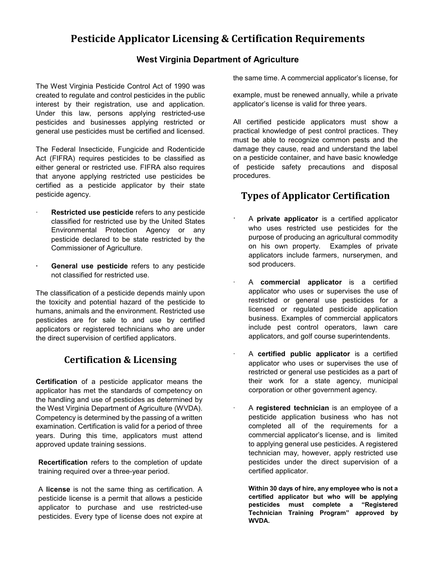# **Pesticide Applicator Licensing & Certification Requirements**

#### **West Virginia Department of Agriculture**

The West Virginia Pesticide Control Act of 1990 was created to regulate and control pesticides in the public interest by their registration, use and application. Under this law, persons applying restricted-use pesticides and businesses applying restricted or general use pesticides must be certified and licensed.

The Federal Insecticide, Fungicide and Rodenticide Act (FIFRA) requires pesticides to be classified as either general or restricted use. FIFRA also requires that anyone applying restricted use pesticides be certified as a pesticide applicator by their state pesticide agency.

- ∙ **Restricted use pesticide** refers to any pesticide classified for restricted use by the United States Environmental Protection Agency or any pesticide declared to be state restricted by the Commissioner of Agriculture.
- **∙ General use pesticide** refers to any pesticide not classified for restricted use.

The classification of a pesticide depends mainly upon the toxicity and potential hazard of the pesticide to humans, animals and the environment. Restricted use pesticides are for sale to and use by certified applicators or registered technicians who are under the direct supervision of certified applicators.

### **Certification & Licensing**

**Certification** of a pesticide applicator means the applicator has met the standards of competency on the handling and use of pesticides as determined by the West Virginia Department of Agriculture (WVDA). Competency is determined by the passing of a written examination. Certification is valid for a period of three years. During this time, applicators must attend approved update training sessions.

**Recertification** refers to the completion of update training required over a three-year period.

A **license** is not the same thing as certification. A pesticide license is a permit that allows a pesticide applicator to purchase and use restricted-use pesticides. Every type of license does not expire at the same time. A commercial applicator's license, for

example, must be renewed annually, while a private applicator's license is valid for three years.

All certified pesticide applicators must show a practical knowledge of pest control practices. They must be able to recognize common pests and the damage they cause, read and understand the label on a pesticide container, and have basic knowledge of pesticide safety precautions and disposal procedures.

## **Types of Applicator Certification**

- ∙ A **private applicator** is a certified applicator who uses restricted use pesticides for the purpose of producing an agricultural commodity on his own property. Examples of private applicators include farmers, nurserymen, and sod producers.
- ∙ A **commercial applicator** is a certified applicator who uses or supervises the use of restricted or general use pesticides for a licensed or regulated pesticide application business. Examples of commercial applicators include pest control operators, lawn care applicators, and golf course superintendents.
- ∙ A **certified public applicator** is a certified applicator who uses or supervises the use of restricted or general use pesticides as a part of their work for a state agency, municipal corporation or other government agency.
	- ∙ A **registered technician** is an employee of a pesticide application business who has not completed all of the requirements for a commercial applicator's license, and is limited to applying general use pesticides. A registered technician may, however, apply restricted use pesticides under the direct supervision of a certified applicator.

**Within 30 days of hire, any employee who is not a certified applicator but who will be applying pesticides must complete a "Registered Technician Training Program" approved by WVDA.**